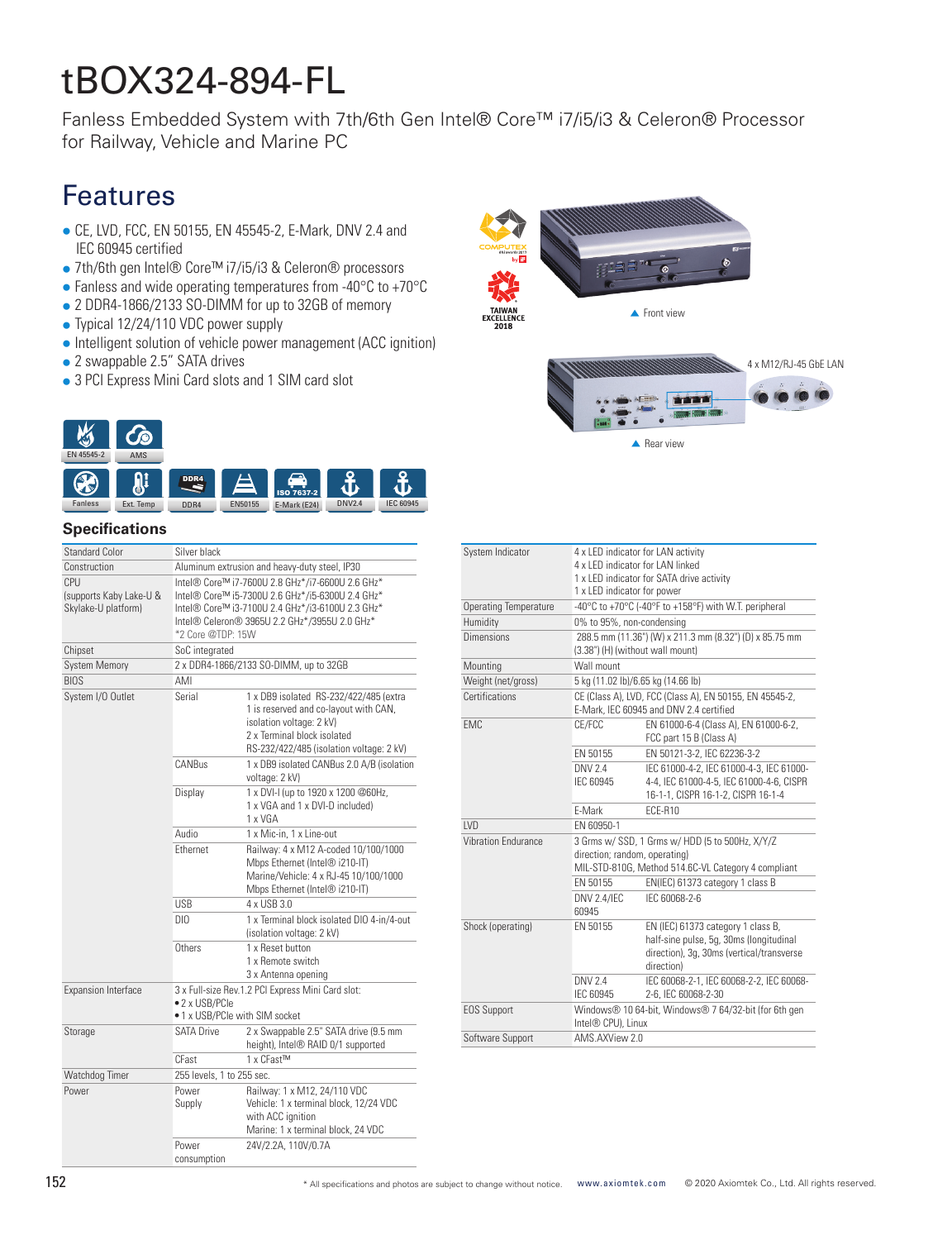# tBOX324-894-FL

Fanless Embedded System with 7th/6th Gen Intel® Core™ i7/i5/i3 & Celeron® Processor for Railway, Vehicle and Marine PC

# Features

- CE, LVD, FCC, EN 50155, EN 45545-2, E-Mark, DNV 2.4 and IEC 60945 certified
- 7th/6th gen Intel® Core™ i7/i5/i3 & Celeron® processors
- $\bullet$  Fanless and wide operating temperatures from -40°C to +70°C
- 2 DDR4-1866/2133 SO-DIMM for up to 32GB of memory
- Typical 12/24/110 VDC power supply
- Intelligent solution of vehicle power management (ACC ignition)
- 2 swappable 2.5" SATA drives
- 3 PCI Express Mini Card slots and 1 SIM card slot



## **Specifications**

| <b>Standard Color</b>                                 | Silver black                                                                                                                                                                                                                   |                                                                                                                                                                                        |  |
|-------------------------------------------------------|--------------------------------------------------------------------------------------------------------------------------------------------------------------------------------------------------------------------------------|----------------------------------------------------------------------------------------------------------------------------------------------------------------------------------------|--|
| Construction                                          | Aluminum extrusion and heavy-duty steel, IP30                                                                                                                                                                                  |                                                                                                                                                                                        |  |
| CPU<br>(supports Kaby Lake-U &<br>Skylake-U platform) | Intel® Core™ i7-7600U 2.8 GHz*/i7-6600U 2.6 GHz*<br>Intel® Core™ i5-7300U 2.6 GHz*/i5-6300U 2.4 GHz*<br>Intel® Core™ i3-7100U 2.4 GHz*/i3-6100U 2.3 GHz*<br>Intel® Celeron® 3965U 2.2 GHz*/3955U 2.0 GHz*<br>*2 Core @TDP: 15W |                                                                                                                                                                                        |  |
| Chipset                                               | SoC integrated                                                                                                                                                                                                                 |                                                                                                                                                                                        |  |
| <b>System Memory</b>                                  | 2 x DDR4-1866/2133 SO-DIMM, up to 32GB                                                                                                                                                                                         |                                                                                                                                                                                        |  |
| <b>BIOS</b>                                           | AMI                                                                                                                                                                                                                            |                                                                                                                                                                                        |  |
| System I/O Outlet                                     | Serial                                                                                                                                                                                                                         | 1 x DB9 isolated RS-232/422/485 (extra<br>1 is reserved and co-layout with CAN,<br>isolation voltage: 2 kV)<br>2 x Terminal block isolated<br>RS-232/422/485 (isolation voltage: 2 kV) |  |
|                                                       | CANBus                                                                                                                                                                                                                         | 1 x DB9 isolated CANBus 2.0 A/B (isolation<br>voltage: 2 kV)                                                                                                                           |  |
|                                                       | Display                                                                                                                                                                                                                        | 1 x DVI-I (up to 1920 x 1200 @60Hz,<br>1 x VGA and 1 x DVI-D included)<br>1 x VGA                                                                                                      |  |
|                                                       | <b>Audio</b>                                                                                                                                                                                                                   | 1 x Mic-in, 1 x Line-out                                                                                                                                                               |  |
|                                                       | Fthernet                                                                                                                                                                                                                       | Railway: 4 x M12 A-coded 10/100/1000<br>Mbps Ethernet (Intel® i210-IT)<br>Marine/Vehicle: 4 x RJ-45 10/100/1000<br>Mbps Ethernet (Intel® i210-IT)                                      |  |
|                                                       | <b>USB</b>                                                                                                                                                                                                                     | 4 x USB 3.0                                                                                                                                                                            |  |
|                                                       | DIO                                                                                                                                                                                                                            | 1 x Terminal block isolated DIO 4-in/4-out<br>(isolation voltage: 2 kV)                                                                                                                |  |
|                                                       | Others                                                                                                                                                                                                                         | 1 x Reset button<br>1 x Remote switch<br>3 x Antenna opening                                                                                                                           |  |
| <b>Expansion Interface</b>                            | 3 x Full-size Rev.1.2 PCI Express Mini Card slot:<br>• 2 x USB/PCle<br>• 1 x USB/PCIe with SIM socket                                                                                                                          |                                                                                                                                                                                        |  |
| Storage                                               | <b>SATA Drive</b>                                                                                                                                                                                                              | 2 x Swappable 2.5" SATA drive (9.5 mm<br>height), Intel® RAID 0/1 supported                                                                                                            |  |
|                                                       | CFast                                                                                                                                                                                                                          | 1 x CFast™                                                                                                                                                                             |  |
| Watchdog Timer                                        | 255 levels, 1 to 255 sec.                                                                                                                                                                                                      |                                                                                                                                                                                        |  |
| Power                                                 | Power<br>Supply                                                                                                                                                                                                                | Railway: 1 x M12, 24/110 VDC<br>Vehicle: 1 x terminal block, 12/24 VDC<br>with ACC ignition<br>Marine: 1 x terminal block, 24 VDC                                                      |  |
|                                                       | Power<br>consumption                                                                                                                                                                                                           | 24V/2.2A, 110V/0.7A                                                                                                                                                                    |  |

| System Indicator             | 4 x LED indicator for LAN activity<br>4 x LED indicator for LAN linked                                                                  |                                                                                                                                          |  |
|------------------------------|-----------------------------------------------------------------------------------------------------------------------------------------|------------------------------------------------------------------------------------------------------------------------------------------|--|
|                              | 1 x LED indicator for SATA drive activity<br>1 x LED indicator for power                                                                |                                                                                                                                          |  |
| <b>Operating Temperature</b> | -40°C to +70°C (-40°F to +158°F) with W.T. peripheral                                                                                   |                                                                                                                                          |  |
| Humidity                     | 0% to 95%, non-condensing                                                                                                               |                                                                                                                                          |  |
| Dimensions                   | 288.5 mm (11.36") (W) x 211.3 mm (8.32") (D) x 85.75 mm<br>(3.38") (H) (without wall mount)                                             |                                                                                                                                          |  |
| Mounting                     | Wall mount                                                                                                                              |                                                                                                                                          |  |
| Weight (net/gross)           | 5 kg (11.02 lb)/6.65 kg (14.66 lb)                                                                                                      |                                                                                                                                          |  |
| Certifications               | CE (Class A), LVD, FCC (Class A), EN 50155, EN 45545-2.<br>E-Mark, IEC 60945 and DNV 2.4 certified                                      |                                                                                                                                          |  |
| <b>FMC</b>                   | CE/FCC                                                                                                                                  | EN 61000-6-4 (Class A), EN 61000-6-2.<br>FCC part 15 B (Class A)                                                                         |  |
|                              | FN 50155                                                                                                                                | EN 50121-3-2, IEC 62236-3-2                                                                                                              |  |
|                              | DNV 2.4<br>IEC 60945                                                                                                                    | IEC 61000-4-2, IEC 61000-4-3, IEC 61000-<br>4-4, IEC 61000-4-5, IEC 61000-4-6, CISPR<br>16-1-1, CISPR 16-1-2, CISPR 16-1-4               |  |
|                              | F-Mark                                                                                                                                  | ECE-R10                                                                                                                                  |  |
| <b>IVD</b>                   | FN 60950-1                                                                                                                              |                                                                                                                                          |  |
| <b>Vibration Fndurance</b>   | 3 Grms w/ SSD, 1 Grms w/ HDD (5 to 500Hz, X/Y/Z<br>direction; random, operating)<br>MIL-STD-810G, Method 514.6C-VL Category 4 compliant |                                                                                                                                          |  |
|                              | FN 50155                                                                                                                                | EN(IEC) 61373 category 1 class B                                                                                                         |  |
|                              | <b>DNV 2.4/IEC</b><br>60945                                                                                                             | IFC 60068-2-6                                                                                                                            |  |
| Shock (operating)            | EN 50155                                                                                                                                | EN (IEC) 61373 category 1 class B,<br>half-sine pulse, 5g, 30ms (longitudinal<br>direction), 3q, 30ms (vertical/transverse<br>direction) |  |
|                              | DNV 2.4<br>IEC 60945                                                                                                                    | IEC 60068-2-1, IEC 60068-2-2, IEC 60068-<br>2-6, IEC 60068-2-30                                                                          |  |
| <b>EOS Support</b>           | Windows® 10 64-bit, Windows® 7 64/32-bit (for 6th gen<br>Intel® CPU), Linux                                                             |                                                                                                                                          |  |
| Software Support             | AMS.AXView 2.0                                                                                                                          |                                                                                                                                          |  |